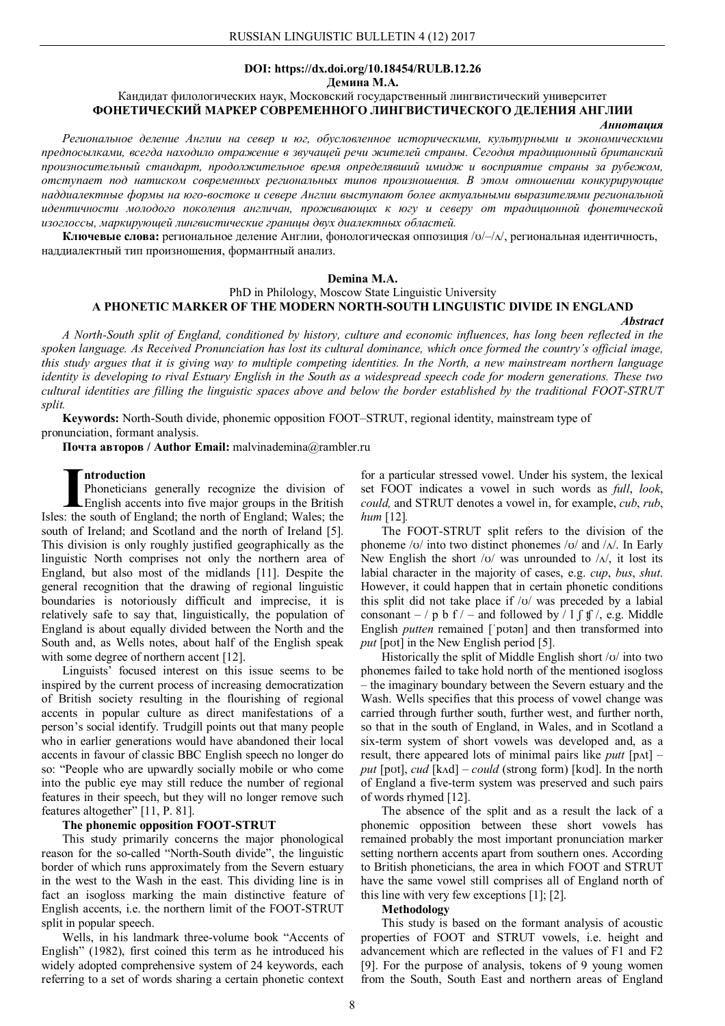# **DOI: https://dx.doi.org/10.18454/RULB.12.26**

**Демина М.А.**

## Кандидат филологических наук, Московский государственный лингвистический университет **ФОНЕТИЧЕСКИЙ МАРКЕР СОВРЕМЕННОГО ЛИНГВИСТИЧЕСКОГО ДЕЛЕНИЯ АНГЛИИ**

#### *Аннотация*

*Региональное деление Англии на север и юг, обусловленное историческими, культурными и экономическими предпосылками, всегда находило отражение в звучащей речи жителей страны. Сегодня традиционный британский произносительный стандарт, продолжительное время определявший имидж и восприятие страны за рубежом, отступает под натиском современных региональных типов произношения. В этом отношении конкурирующие наддиалектные формы на юго-востоке и севере Англии выступают более актуальными выразителями региональной идентичности молодого поколения англичан, проживающих к югу и северу от традиционной фонетической изоглоссы, маркирующей лингвистические границы двух диалектных областей.*

**Ключевые слова:** региональное деление Англии, фонологическая оппозиция /ʊ/–/ʌ/, региональная идентичность, наддиалектный тип произношения, формантный анализ.

### **Demina M.A.**

## PhD in Philology, Moscow State Linguistic University **A PHONETIC MARKER OF THE MODERN NORTH-SOUTH LINGUISTIC DIVIDE IN ENGLAND**

#### *Abstract*

*A North-South split of England, conditioned by history, culture and economic influences, has long been reflected in the spoken language. As Received Pronunciation has lost its cultural dominance, which once formed the country's official image, this study argues that it is giving way to multiple competing identities. In the North, a new mainstream northern language identity is developing to rival Еstuary English in the South as a widespread speech code for modern generations. These two cultural identities are filling the linguistic spaces above and below the border established by the traditional FOOT-STRUT split.*

**Keywords:** North-South divide, phonemic opposition FOOT–STRUT, regional identity, mainstream type of pronunciation, formant analysis.

**Почта авторов / Author Email:** malvinademina@rambler.ru

#### **ntroduction**

Phoneticians generally recognize the division of English accents into five major groups in the British Introduction<br>
Phoneticians generally recognize the division of<br>
English accents into five major groups in the British<br>
Isles: the south of England; the north of England; Wales; the south of Ireland; and Scotland and the north of Ireland [5]. This division is only roughly justified geographically as the linguistic North comprises not only the northern area of England, but also most of the midlands [11]. Despite the general recognition that the drawing of regional linguistic boundaries is notoriously difficult and imprecise, it is relatively safe to say that, linguistically, the population of England is about equally divided between the North and the South and, as Wells notes, about half of the English speak with some degree of northern accent [12].

Linguists' focused interest on this issue seems to be inspired by the current process of increasing democratization of British society resulting in the flourishing of regional accents in popular culture as direct manifestations of a person's social identify. Trudgill points out that many people who in earlier generations would have abandoned their local accents in favour of classic BBC English speech no longer do so: "People who are upwardly socially mobile or who come into the public eye may still reduce the number of regional features in their speech, but they will no longer remove such features altogether" [11, P. 81].

## **The phonemic opposition FOOT-STRUT**

This study primarily concerns the major phonological reason for the so-called "North-South divide", the linguistic border of which runs approximately from the Severn estuary in the west to the Wash in the east. This dividing line is in fact an isogloss marking the main distinctive feature of English accents, i.e. the northern limit of the FOOT-STRUT split in popular speech.

Wells, in his landmark three-volume book "Accents of English" (1982), first coined this term as he introduced his widely adopted comprehensive system of 24 keywords, each referring to a set of words sharing a certain phonetic context for a particular stressed vowel. Under his system, the lexical set FOOT indicates a vowel in such words as *full*, *look*, *could,* and STRUT denotes a vowel in, for example, *cub*, *rub*, *hum* [12]*.*

The FOOT-STRUT split refers to the division of the phoneme /ʊ/ into two distinct phonemes /ʊ/ and /ʌ/. In Early New English the short  $\sqrt{v}$  was unrounded to  $\sqrt{\Delta t}$ , it lost its labial character in the majority of cases, e.g. *cup*, *bus*, *shut*. However, it could happen that in certain phonetic conditions this split did not take place if  $\frac{1}{v}$  was preceded by a labial consonant  $-$  / p b f / – and followed by / l  $\int$  f /, e.g. Middle English *putten* remained ['potən] and then transformed into *put* [pʊt] in the New English period [5].

Historically the split of Middle English short  $\sqrt{v}$  into two phonemes failed to take hold north of the mentioned isogloss – the imaginary boundary between the Severn estuary and the Wash. Wells specifies that this process of vowel change was carried through further south, further west, and further north, so that in the south of England, in Wales, and in Scotland a six-term system of short vowels was developed and, as a result, there appeared lots of minimal pairs like *putt* [pʌt] – *put* [pʊt], *cud* [kʌd] – *could* (strong form) [kʊd]. In the north of England a five-term system was preserved and such pairs of words rhymed [12].

The absence of the split and as a result the lack of a phonemic opposition between these short vowels has remained probably the most important pronunciation marker setting northern accents apart from southern ones. According to British phoneticians, the area in which FOOT and STRUT have the same vowel still comprises all of England north of this line with very few exceptions [1]; [2].

#### **Methodology**

This study is based on the formant analysis of acoustic properties of FOOT and STRUT vowels, i.e. height and advancement which are reflected in the values of F1 and F2 [9]. For the purpose of analysis, tokens of 9 young women from the South, South East and northern areas of England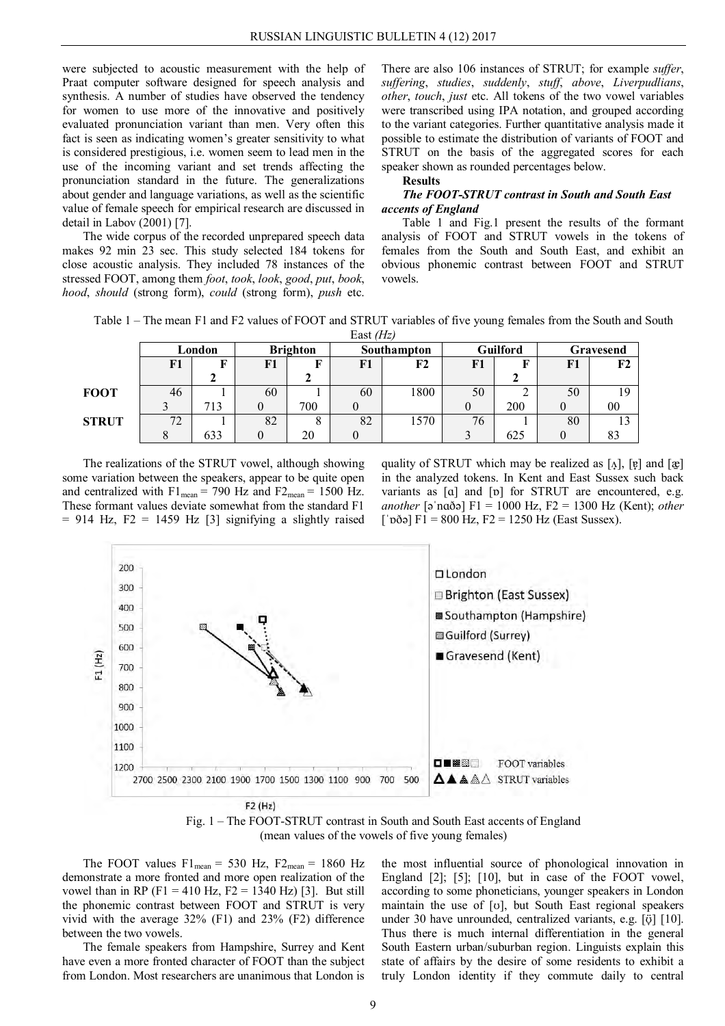were subjected to acoustic measurement with the help of Praat computer software designed for speech analysis and synthesis. A number of studies have observed the tendency for women to use more of the innovative and positively evaluated pronunciation variant than men. Very often this fact is seen as indicating women's greater sensitivity to what is considered prestigious, i.e. women seem to lead men in the use of the incoming variant and set trends affecting the pronunciation standard in the future. The generalizations about gender and language variations, as well as the scientific value of female speech for empirical research are discussed in detail in Labov (2001) [7].

The wide corpus of the recorded unprepared speech data makes 92 min 23 sec. This study selected 184 tokens for close acoustic analysis. They included 78 instances of the stressed FOOT, among them *foot*, *took*, *look*, *good*, *put*, *book*, *hood*, *should* (strong form), *could* (strong form), *push* etc.

There are also 106 instances of STRUT; for example *suffer*, *suffering*, *studies*, *suddenly*, *stuff*, *above*, *Liverpudlians*, *other*, *touch*, *just* etc. All tokens of the two vowel variables were transcribed using IPA notation, and grouped according to the variant categories. Further quantitative analysis made it possible to estimate the distribution of variants of FOOT and STRUT on the basis of the aggregated scores for each speaker shown as rounded percentages below.

**Results**

## *The FOOT-STRUT contrast in South and South East accents of England*

Table 1 and Fig.1 present the results of the formant analysis of FOOT and STRUT vowels in the tokens of females from the South and South East, and exhibit an obvious phonemic contrast between FOOT and STRUT vowels.

Table 1 – The mean F1 and F2 values of FOOT and STRUT variables of five young females from the South and South East *(Hz)*

| 1.431        |        |     |                 |     |             |      |                 |     |           |    |  |  |
|--------------|--------|-----|-----------------|-----|-------------|------|-----------------|-----|-----------|----|--|--|
|              | London |     | <b>Brighton</b> |     | Southampton |      | <b>Guilford</b> |     | Gravesend |    |  |  |
|              | F1     |     | F1              |     | F1          | F2   | F1              |     | F1        | F2 |  |  |
|              |        |     |                 |     |             |      |                 |     |           |    |  |  |
| <b>FOOT</b>  | 46     |     | 60              |     | 60          | 1800 | 50              |     | 50        | 19 |  |  |
|              |        | 713 |                 | 700 |             |      |                 | 200 |           | 00 |  |  |
| <b>STRUT</b> | 72     |     | 82              |     | 82          | 1570 | 76              |     | 80        | 13 |  |  |
|              |        | 633 |                 | 20  |             |      |                 | 625 |           |    |  |  |

The realizations of the STRUT vowel, although showing some variation between the speakers, appear to be quite open and centralized with  $F1_{mean} = 790$  Hz and  $F2_{mean} = 1500$  Hz. These formant values deviate somewhat from the standard F1  $= 914$  Hz, F2 = 1459 Hz [3] signifying a slightly raised

quality of STRUT which may be realized as  $[\Lambda]$ ,  $[\mathfrak{p}]$  and  $[\mathfrak{g}]$ in the analyzed tokens. In Kent and East Sussex such back variants as [ɑ] and [ɒ] for STRUT are encountered, e.g. *another* [әˈnɑðә] F1 = 1000 Hz, F2 = 1300 Hz (Kent); *other*  $\lceil \vec{p00} \rceil$  F1 = 800 Hz, F2 = 1250 Hz (East Sussex).



Fig. 1 – The FOOT-STRUT contrast in South and South East accents of England (mean values of the vowels of five young females)

The FOOT values  $F1_{mean} = 530$  Hz,  $F2_{mean} = 1860$  Hz demonstrate a more fronted and more open realization of the vowel than in RP (F1 = 410 Hz, F2 = 1340 Hz) [3]. But still the phonemic contrast between FOOT and STRUT is very vivid with the average 32% (F1) and 23% (F2) difference between the two vowels.

The female speakers from Hampshire, Surrey and Kent have even a more fronted character of FOOT than the subject from London. Most researchers are unanimous that London is

the most influential source of phonological innovation in England [2]; [5]; [10], but in case of the FOOT vowel, according to some phoneticians, younger speakers in London maintain the use of [ʊ], but South East regional speakers under 30 have unrounded, centralized variants, e.g. [ $\ddot{\text{o}}$ ] [10]. Thus there is much internal differentiation in the general South Eastern urban/suburban region. Linguists explain this state of affairs by the desire of some residents to exhibit a truly London identity if they commute daily to central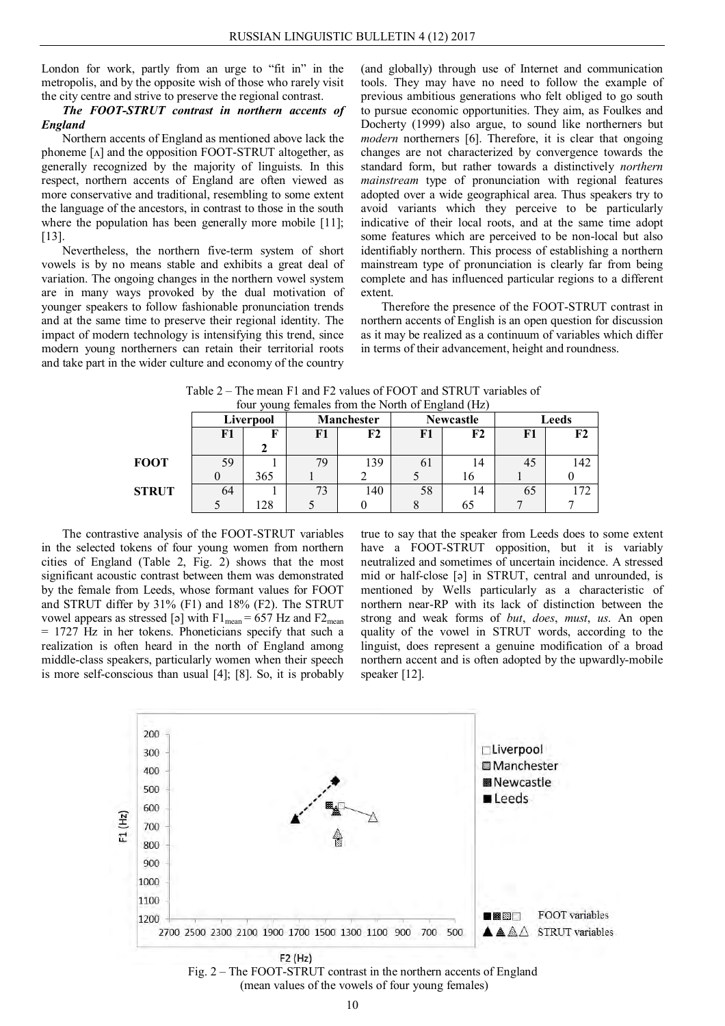London for work, partly from an urge to "fit in" in the metropolis, and by the opposite wish of those who rarely visit the city centre and strive to preserve the regional contrast.

## *The FOOT-STRUT contrast in northern accents of England*

Northern accents of England as mentioned above lack the phoneme [ʌ] and the opposition FOOT-STRUT altogether, as generally recognized by the majority of linguists. In this respect, northern accents of England are often viewed as more conservative and traditional, resembling to some extent the language of the ancestors, in contrast to those in the south where the population has been generally more mobile [11]; [13].

Nevertheless, the northern five-term system of short vowels is by no means stable and exhibits a great deal of variation. The ongoing changes in the northern vowel system are in many ways provoked by the dual motivation of younger speakers to follow fashionable pronunciation trends and at the same time to preserve their regional identity. The impact of modern technology is intensifying this trend, since modern young northerners can retain their territorial roots and take part in the wider culture and economy of the country

(and globally) through use of Internet and communication tools. They may have no need to follow the example of previous ambitious generations who felt obliged to go south to pursue economic opportunities. They aim, as Foulkes and Docherty (1999) also argue, to sound like northerners but *modern* northerners [6]. Therefore, it is clear that ongoing changes are not characterized by convergence towards the standard form, but rather towards a distinctively *northern mainstream* type of pronunciation with regional features adopted over a wide geographical area. Thus speakers try to avoid variants which they perceive to be particularly indicative of their local roots, and at the same time adopt some features which are perceived to be non-local but also identifiably northern. This process of establishing a northern mainstream type of pronunciation is clearly far from being complete and has influenced particular regions to a different extent.

Therefore the presence of the FOOT-STRUT contrast in northern accents of English is an open question for discussion as it may be realized as a continuum of variables which differ in terms of their advancement, height and roundness.

| Tour young remares from the typith of England (TIZ) |    |           |    |                   |                |                  |       |     |  |  |  |
|-----------------------------------------------------|----|-----------|----|-------------------|----------------|------------------|-------|-----|--|--|--|
|                                                     |    | Liverpool |    | <b>Manchester</b> |                | <b>Newcastle</b> | Leeds |     |  |  |  |
|                                                     | F1 | F         | F1 | F2                | F1             | F2               | F1    | F2  |  |  |  |
|                                                     |    |           |    |                   |                |                  |       |     |  |  |  |
| <b>FOOT</b>                                         | 59 |           | 79 | 139               | 0 <sub>1</sub> | 14               | 45    | 142 |  |  |  |
|                                                     |    | 365       |    |                   |                | 16               |       |     |  |  |  |
| <b>STRUT</b>                                        | 64 |           | 73 | 140               | 58             | 14               | 65    | 172 |  |  |  |
|                                                     |    | 28        |    |                   |                | 65               |       |     |  |  |  |

Table 2 – The mean F1 and F2 values of FOOT and STRUT variables of four young females from the North of England (Hz)

The contrastive analysis of the FOOT-STRUT variables in the selected tokens of four young women from northern cities of England (Table 2, Fig. 2) shows that the most significant acoustic contrast between them was demonstrated by the female from Leeds, whose formant values for FOOT and STRUT differ by 31% (F1) and 18% (F2). The STRUT vowel appears as stressed [ә] with  $F1_{mean} = 657$  Hz and  $F2_{mean}$ = 1727 Hz in her tokens. Phoneticians specify that such a realization is often heard in the north of England among middle-class speakers, particularly women when their speech is more self-conscious than usual [4]; [8]. So, it is probably true to say that the speaker from Leeds does to some extent have a FOOT-STRUT opposition, but it is variably neutralized and sometimes of uncertain incidence. A stressed mid or half-close [ә] in STRUT, central and unrounded, is mentioned by Wells particularly as a characteristic of northern near-RP with its lack of distinction between the strong and weak forms of *but*, *does*, *must*, *us*. An open quality of the vowel in STRUT words, according to the linguist, does represent a genuine modification of a broad northern accent and is often adopted by the upwardly-mobile speaker [12].



Fig. 2 – The FOOT-STRUT contrast in the northern accents of England (mean values of the vowels of four young females)